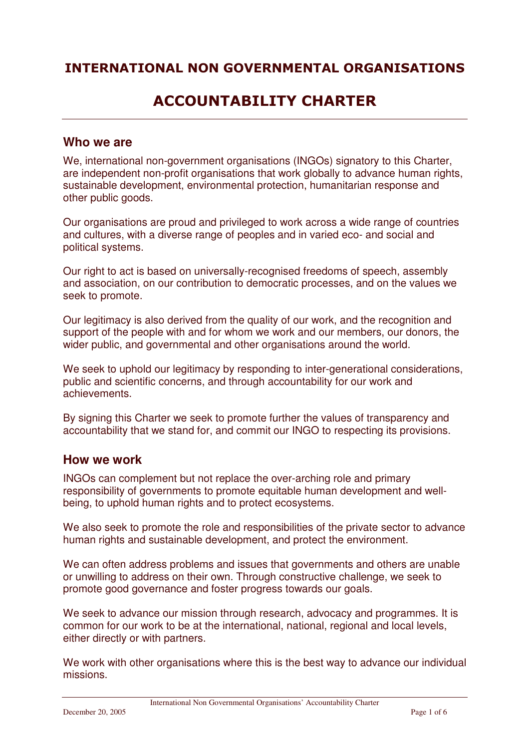## INTERNATIONAL NON GOVERNMENTAL ORGANISATIONS

# **ACCOUNTABILITY CHARTER**

## **Who we are**

We, international non-government organisations (INGOs) signatory to this Charter, are independent non-profit organisations that work globally to advance human rights, sustainable development, environmental protection, humanitarian response and other public goods.

Our organisations are proud and privileged to work across a wide range of countries and cultures, with a diverse range of peoples and in varied eco- and social and political systems.

Our right to act is based on universally-recognised freedoms of speech, assembly and association, on our contribution to democratic processes, and on the values we seek to promote.

Our legitimacy is also derived from the quality of our work, and the recognition and support of the people with and for whom we work and our members, our donors, the wider public, and governmental and other organisations around the world.

We seek to uphold our legitimacy by responding to inter-generational considerations, public and scientific concerns, and through accountability for our work and achievements.

By signing this Charter we seek to promote further the values of transparency and accountability that we stand for, and commit our INGO to respecting its provisions.

## **How we work**

INGOs can complement but not replace the over-arching role and primary responsibility of governments to promote equitable human development and wellbeing, to uphold human rights and to protect ecosystems.

We also seek to promote the role and responsibilities of the private sector to advance human rights and sustainable development, and protect the environment.

We can often address problems and issues that governments and others are unable or unwilling to address on their own. Through constructive challenge, we seek to promote good governance and foster progress towards our goals.

We seek to advance our mission through research, advocacy and programmes. It is common for our work to be at the international, national, regional and local levels, either directly or with partners.

We work with other organisations where this is the best way to advance our individual missions.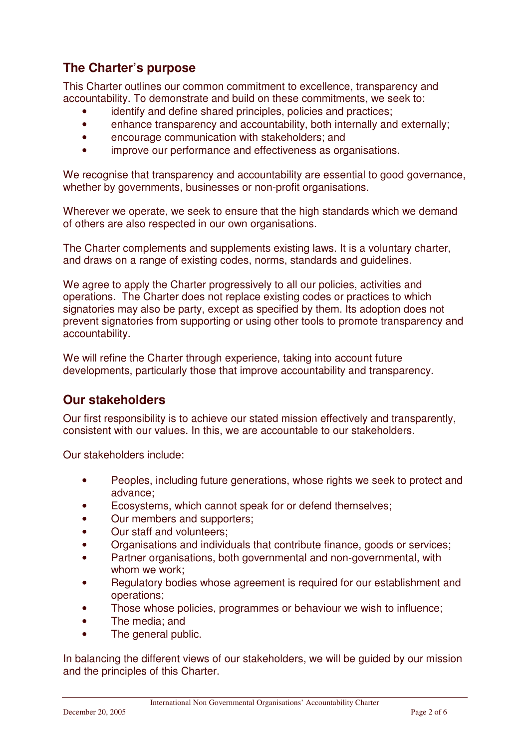## **The Charter's purpose**

This Charter outlines our common commitment to excellence, transparency and accountability. To demonstrate and build on these commitments, we seek to:

- identify and define shared principles, policies and practices;
- enhance transparency and accountability, both internally and externally;
- encourage communication with stakeholders; and
- improve our performance and effectiveness as organisations.

We recognise that transparency and accountability are essential to good governance, whether by governments, businesses or non-profit organisations.

Wherever we operate, we seek to ensure that the high standards which we demand of others are also respected in our own organisations.

The Charter complements and supplements existing laws. It is a voluntary charter, and draws on a range of existing codes, norms, standards and guidelines.

We agree to apply the Charter progressively to all our policies, activities and operations. The Charter does not replace existing codes or practices to which signatories may also be party, except as specified by them. Its adoption does not prevent signatories from supporting or using other tools to promote transparency and accountability.

We will refine the Charter through experience, taking into account future developments, particularly those that improve accountability and transparency.

## **Our stakeholders**

Our first responsibility is to achieve our stated mission effectively and transparently, consistent with our values. In this, we are accountable to our stakeholders.

Our stakeholders include:

- Peoples, including future generations, whose rights we seek to protect and advance;
- Ecosystems, which cannot speak for or defend themselves;
- Our members and supporters;
- Our staff and volunteers;
- Organisations and individuals that contribute finance, goods or services;
- Partner organisations, both governmental and non-governmental, with whom we work;
- Regulatory bodies whose agreement is required for our establishment and operations;
- Those whose policies, programmes or behaviour we wish to influence;
- The media; and
- The general public.

In balancing the different views of our stakeholders, we will be guided by our mission and the principles of this Charter.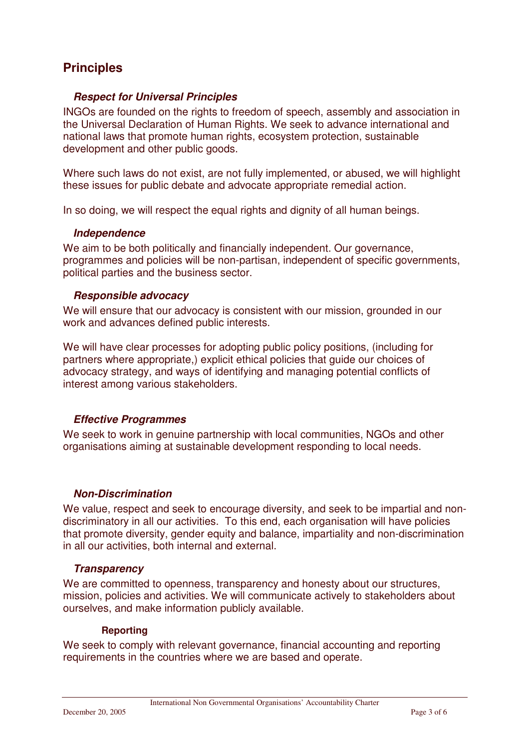## **Principles**

## *Respect for Universal Principles*

INGOs are founded on the rights to freedom of speech, assembly and association in the Universal Declaration of Human Rights. We seek to advance international and national laws that promote human rights, ecosystem protection, sustainable development and other public goods.

Where such laws do not exist, are not fully implemented, or abused, we will highlight these issues for public debate and advocate appropriate remedial action.

In so doing, we will respect the equal rights and dignity of all human beings.

## *Independence*

We aim to be both politically and financially independent. Our governance, programmes and policies will be non-partisan, independent of specific governments, political parties and the business sector.

## *Responsible advocacy*

We will ensure that our advocacy is consistent with our mission, grounded in our work and advances defined public interests.

We will have clear processes for adopting public policy positions, (including for partners where appropriate,) explicit ethical policies that guide our choices of advocacy strategy, and ways of identifying and managing potential conflicts of interest among various stakeholders.

## *Effective Programmes*

We seek to work in genuine partnership with local communities, NGOs and other organisations aiming at sustainable development responding to local needs.

## *Non-Discrimination*

We value, respect and seek to encourage diversity, and seek to be impartial and nondiscriminatory in all our activities. To this end, each organisation will have policies that promote diversity, gender equity and balance, impartiality and non-discrimination in all our activities, both internal and external.

## *Transparency*

We are committed to openness, transparency and honesty about our structures, mission, policies and activities. We will communicate actively to stakeholders about ourselves, and make information publicly available.

#### **Reporting**

We seek to comply with relevant governance, financial accounting and reporting requirements in the countries where we are based and operate.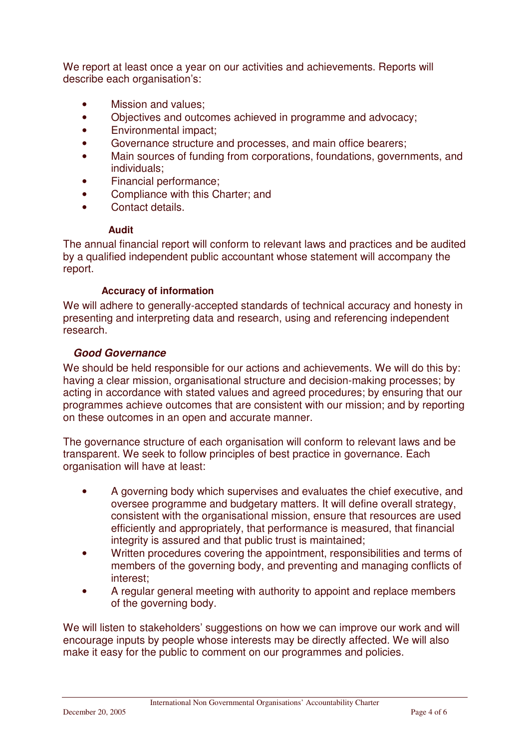We report at least once a year on our activities and achievements. Reports will describe each organisation's:

- Mission and values:
- Objectives and outcomes achieved in programme and advocacy;
- Environmental impact:
- Governance structure and processes, and main office bearers;
- Main sources of funding from corporations, foundations, governments, and individuals;
- Financial performance;
- Compliance with this Charter; and
- Contact details.

### **Audit**

The annual financial report will conform to relevant laws and practices and be audited by a qualified independent public accountant whose statement will accompany the report.

## **Accuracy of information**

We will adhere to generally-accepted standards of technical accuracy and honesty in presenting and interpreting data and research, using and referencing independent research.

## *Good Governance*

We should be held responsible for our actions and achievements. We will do this by: having a clear mission, organisational structure and decision-making processes; by acting in accordance with stated values and agreed procedures; by ensuring that our programmes achieve outcomes that are consistent with our mission; and by reporting on these outcomes in an open and accurate manner.

The governance structure of each organisation will conform to relevant laws and be transparent. We seek to follow principles of best practice in governance. Each organisation will have at least:

- A governing body which supervises and evaluates the chief executive, and oversee programme and budgetary matters. It will define overall strategy, consistent with the organisational mission, ensure that resources are used efficiently and appropriately, that performance is measured, that financial integrity is assured and that public trust is maintained;
- Written procedures covering the appointment, responsibilities and terms of members of the governing body, and preventing and managing conflicts of interest;
- A regular general meeting with authority to appoint and replace members of the governing body.

We will listen to stakeholders' suggestions on how we can improve our work and will encourage inputs by people whose interests may be directly affected. We will also make it easy for the public to comment on our programmes and policies.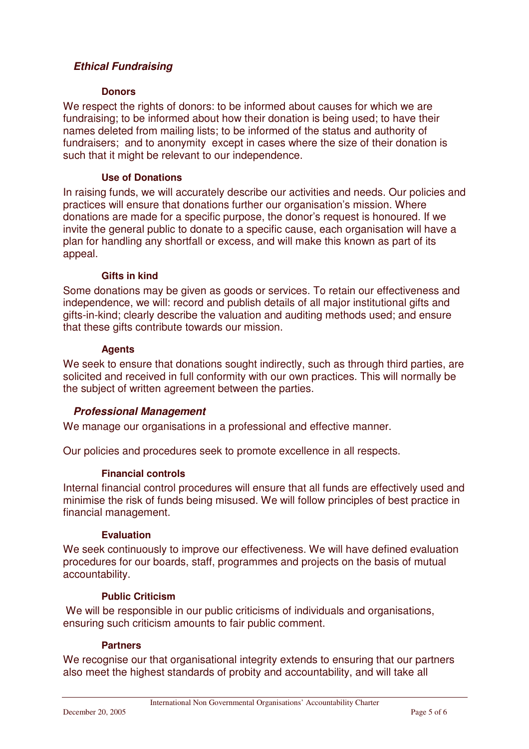## *Ethical Fundraising*

### **Donors**

We respect the rights of donors: to be informed about causes for which we are fundraising; to be informed about how their donation is being used; to have their names deleted from mailing lists; to be informed of the status and authority of fundraisers; and to anonymity except in cases where the size of their donation is such that it might be relevant to our independence.

### **Use of Donations**

In raising funds, we will accurately describe our activities and needs. Our policies and practices will ensure that donations further our organisation's mission. Where donations are made for a specific purpose, the donor's request is honoured. If we invite the general public to donate to a specific cause, each organisation will have a plan for handling any shortfall or excess, and will make this known as part of its appeal.

### **Gifts in kind**

Some donations may be given as goods or services. To retain our effectiveness and independence, we will: record and publish details of all major institutional gifts and gifts-in-kind; clearly describe the valuation and auditing methods used; and ensure that these gifts contribute towards our mission.

### **Agents**

We seek to ensure that donations sought indirectly, such as through third parties, are solicited and received in full conformity with our own practices. This will normally be the subject of written agreement between the parties.

## *Professional Management*

We manage our organisations in a professional and effective manner.

Our policies and procedures seek to promote excellence in all respects.

## **Financial controls**

Internal financial control procedures will ensure that all funds are effectively used and minimise the risk of funds being misused. We will follow principles of best practice in financial management.

#### **Evaluation**

We seek continuously to improve our effectiveness. We will have defined evaluation procedures for our boards, staff, programmes and projects on the basis of mutual accountability.

## **Public Criticism**

We will be responsible in our public criticisms of individuals and organisations, ensuring such criticism amounts to fair public comment.

#### **Partners**

We recognise our that organisational integrity extends to ensuring that our partners also meet the highest standards of probity and accountability, and will take all